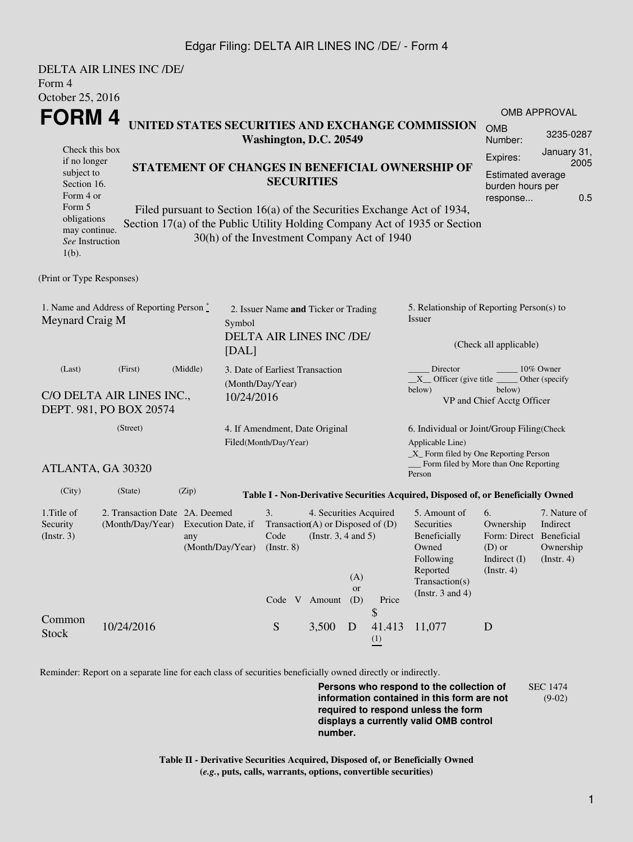## Edgar Filing: DELTA AIR LINES INC /DE/ - Form 4

| Form 4<br>October 25, 2016                                                                                                                                                                                                                                                                                                                                                                                                  | <b>DELTA AIR LINES INC /DE/</b> |                                                                                                  |            |                                                                                            |                                                                                                |                  |                                          |                                                                                                                                                  |                                                                                            |                                                                |  |  |
|-----------------------------------------------------------------------------------------------------------------------------------------------------------------------------------------------------------------------------------------------------------------------------------------------------------------------------------------------------------------------------------------------------------------------------|---------------------------------|--------------------------------------------------------------------------------------------------|------------|--------------------------------------------------------------------------------------------|------------------------------------------------------------------------------------------------|------------------|------------------------------------------|--------------------------------------------------------------------------------------------------------------------------------------------------|--------------------------------------------------------------------------------------------|----------------------------------------------------------------|--|--|
| FORM 4<br>UNITED STATES SECURITIES AND EXCHANGE COMMISSION<br>Check this box<br>if no longer<br>STATEMENT OF CHANGES IN BENEFICIAL OWNERSHIP OF<br>subject to<br>Section 16.<br>Form 4 or<br>Form 5<br>Filed pursuant to Section 16(a) of the Securities Exchange Act of 1934,<br>obligations<br>Section 17(a) of the Public Utility Holding Company Act of 1935 or Section<br>may continue.<br>See Instruction<br>$1(b)$ . |                                 |                                                                                                  |            | Washington, D.C. 20549<br><b>SECURITIES</b><br>30(h) of the Investment Company Act of 1940 |                                                                                                |                  |                                          |                                                                                                                                                  | <b>OMB</b><br>Number:<br>Expires:<br>Estimated average<br>burden hours per<br>response     | <b>OMB APPROVAL</b><br>3235-0287<br>January 31,<br>2005<br>0.5 |  |  |
| (Print or Type Responses)                                                                                                                                                                                                                                                                                                                                                                                                   |                                 |                                                                                                  |            |                                                                                            |                                                                                                |                  |                                          |                                                                                                                                                  |                                                                                            |                                                                |  |  |
| 1. Name and Address of Reporting Person $\stackrel{*}{\text{-}}$<br>Meynard Craig M<br>Symbol<br>[DAL]                                                                                                                                                                                                                                                                                                                      |                                 |                                                                                                  |            | 2. Issuer Name and Ticker or Trading<br>DELTA AIR LINES INC /DE/                           |                                                                                                |                  |                                          | 5. Relationship of Reporting Person(s) to<br>Issuer<br>(Check all applicable)                                                                    |                                                                                            |                                                                |  |  |
| (First)<br>(Middle)<br>(Last)<br>C/O DELTA AIR LINES INC.,<br>DEPT. 981, PO BOX 20574                                                                                                                                                                                                                                                                                                                                       |                                 |                                                                                                  | 10/24/2016 | 3. Date of Earliest Transaction<br>(Month/Day/Year)                                        |                                                                                                |                  |                                          | Director<br>10% Owner<br>$X$ Officer (give title $\frac{X}{X}$<br>Other (specify<br>below)<br>below)<br>VP and Chief Acctg Officer               |                                                                                            |                                                                |  |  |
|                                                                                                                                                                                                                                                                                                                                                                                                                             | (Street)                        | Filed(Month/Day/Year)                                                                            |            |                                                                                            | 4. If Amendment, Date Original                                                                 |                  |                                          | 6. Individual or Joint/Group Filing(Check<br>Applicable Line)<br>_X_ Form filed by One Reporting Person<br>Form filed by More than One Reporting |                                                                                            |                                                                |  |  |
| ATLANTA, GA 30320                                                                                                                                                                                                                                                                                                                                                                                                           |                                 |                                                                                                  |            |                                                                                            |                                                                                                |                  |                                          | Person                                                                                                                                           |                                                                                            |                                                                |  |  |
| (City)                                                                                                                                                                                                                                                                                                                                                                                                                      | (State)                         | (Zip)                                                                                            |            |                                                                                            |                                                                                                |                  |                                          | Table I - Non-Derivative Securities Acquired, Disposed of, or Beneficially Owned                                                                 |                                                                                            |                                                                |  |  |
| 1. Title of<br>Security<br>(Insert. 3)                                                                                                                                                                                                                                                                                                                                                                                      |                                 | 2. Transaction Date 2A. Deemed<br>(Month/Day/Year) Execution Date, if<br>any<br>(Month/Day/Year) |            |                                                                                            | 4. Securities Acquired<br>Transaction(A) or Disposed of $(D)$<br>Code (Instr. $3, 4$ and $5$ ) | (A)<br><b>or</b> |                                          | 5. Amount of<br>Securities<br>Beneficially<br>Owned<br>Following<br>Reported<br>Transaction(s)<br>(Instr. $3$ and $4$ )                          | 6.<br>Ownership<br>Form: Direct Beneficial<br>$(D)$ or<br>Indirect (I)<br>$($ Instr. 4 $)$ | 7. Nature of<br>Indirect<br>Ownership<br>(Insert. 4)           |  |  |
| Common<br><b>Stock</b>                                                                                                                                                                                                                                                                                                                                                                                                      | 10/24/2016                      |                                                                                                  |            | Code V Amount<br>${\mathbf S}$                                                             | 3,500                                                                                          | (D)<br>D         | Price<br>\$<br>41.413<br>$\frac{(1)}{2}$ | 11,077                                                                                                                                           | D                                                                                          |                                                                |  |  |

Reminder: Report on a separate line for each class of securities beneficially owned directly or indirectly.

**Persons who respond to the collection of information contained in this form are not required to respond unless the form displays a currently valid OMB control number.** SEC 1474 (9-02)

**Table II - Derivative Securities Acquired, Disposed of, or Beneficially Owned (***e.g.***, puts, calls, warrants, options, convertible securities)**